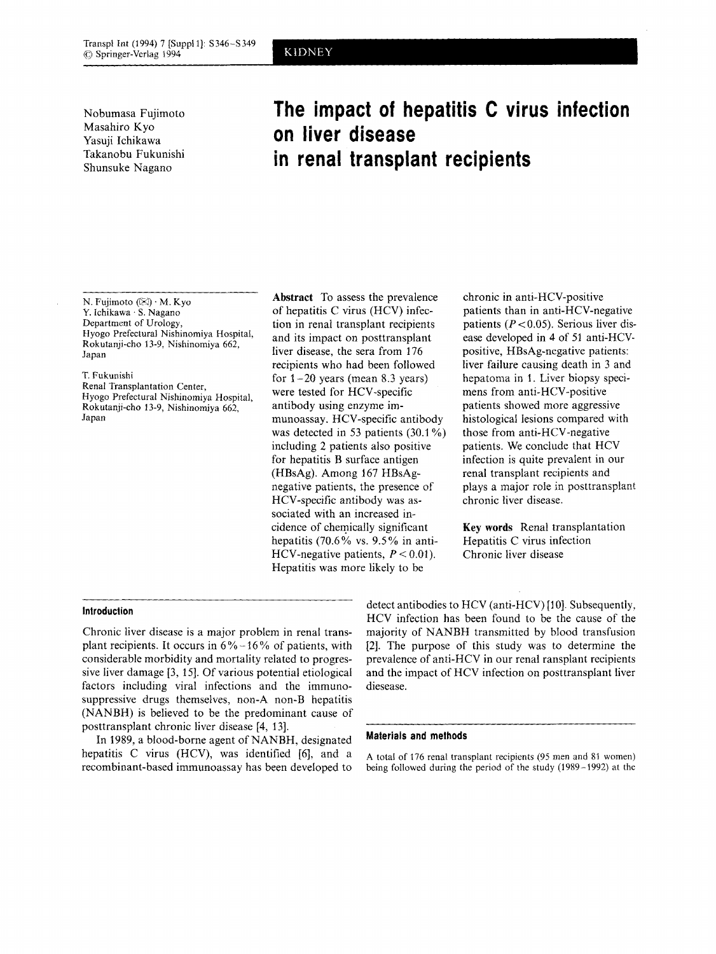Nobumasa Fujimoto Masahiro Kyo Yasuji Ichikawa Takanobu Fukunishi Shunsuke Nagano

# **The impact of hepatitis C virus infection on liver disease in renal transplant recipients**

N. Fujimoto  $(\boxtimes) \cdot M$ . Kyo *Y.* Ichikawa  $\cdot$  S. Nagano Department of Urology, Hyogo Prefectural Nishinomiya Hospital, Rokutanji-cho 13-9, Nishinomiya 662, Japan

# T. Fukunishi

Renal Transplantation Center, Hyogo Prefectural Nishinomiya Hospital, Rokutanji-cho 13-9, Nishinomiya 662, Japan

**Abstract** To assess the prevalence of hepatitis C virus (HCV) infection in renal transplant recipients and its impact on posttransplant liver disease, the sera from 176 recipients who had been followed for  $1-20$  years (mean 8.3 years) were tested for HCV-specific antibody using enzyme immunoassay. HCV-specific antibody was detected in 53 patients  $(30.1\%)$ including 2 patients also positive for hepatitis B surface antigen (HBsAg). Among 167 HBsAgnegative patients, the presence of HCV-specific antibody was associated with an increased incidence of chemically significant hepatitis (70.6% vs. 9.5% in anti-HCV-negative patients,  $P < 0.01$ ). Hepatitis was more likely to be

chronic in anti-HCV-positive patients than in anti-HCV-negative patients *(P* < 0.05). Serious liver disease developed in **4** of 51 anti-HCVpositive, HBsAg-negative patients: liver failure causing death in 3 and hepatoma in 1. Liver biopsy specimens from anti-HCV-positive patients showed more aggressive histological lesions compared with those from anti-HCV-negative patients. We conclude that HCV infection is quite prevalent in our renal transplant recipients and plays a major role in posttransplant chronic liver disease.

**Key words** Renal transplantation Hepatitis C virus infection Chronic liver disease

# **Introduction**

Chronic liver disease is a major problem in renal transplant recipients. It occurs in  $6\% - 16\%$  of patients, with considerable morbidity and mortality related to progressive liver damage [3, 151. Of various potential etiological factors including viral infections and the immunosuppressive drugs themselves, non-A non-B hepatitis (NANBH) is believed to be the predominant cause of posttransplant chronic liver disease [4, 131.

In 1989, a blood-borne agent of NANBH, designated hepatitis C virus (HCV), was identified *[6],* and a recombinant-based immunoassay has been developed to detect antibodies to HCV (anti-HCV) [10]. Subsequently, HCV infection has been found to be the cause of the majority of NANBH transmitted by blood transfusion [2]. The purpose of this study was to determine the prevalence of anti-HCV in our renal ransplant recipients and the impact of HCV infection on posttransplant liver diesease.

### **Materials and methods**

**A** total of 176 renal transplant recipients (95 men and 81 women) being followed during the period of the study (1989-1992) at the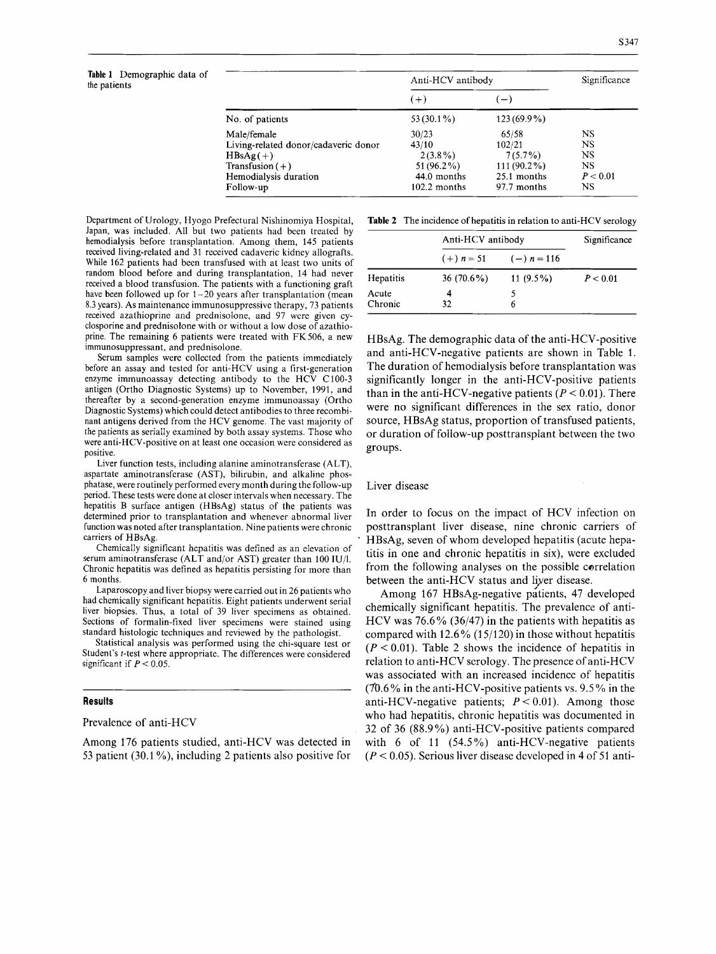# **Table 1** Demographic data of

| Table 1 Demographic data of<br>the patients |                                      | Anti-HCV antibody |                          | Significance |
|---------------------------------------------|--------------------------------------|-------------------|--------------------------|--------------|
|                                             |                                      | $(+)$             | $\overline{\phantom{m}}$ |              |
|                                             | No. of patients                      | $53(30.1\%)$      | $123(69.9\%)$            |              |
|                                             | Male/female                          | 30/23             | 65/58                    | <b>NS</b>    |
|                                             | Living-related donor/cadaveric donor | 43/10             | 102/21                   | <b>NS</b>    |
|                                             | $HBsAg(+)$                           | $2(3.8\%)$        | $7(5.7\%)$               | <b>NS</b>    |
|                                             | Transfusion $(+)$                    | $51(96.2\%)$      | $111(90.2\%)$            | <b>NS</b>    |
|                                             | Hemodialysis duration                | 44.0 months       | 25.1 months              | P < 0.01     |
|                                             | Follow-up                            | $102.2$ months    | 97.7 months              | NS.          |

Department of Urology, Hyogo Prefectural Nishinomiya Hospital, Japan, was included. All but two patients had been treated by hemodialysis before transplantation. Among them, 145 patients received living-related and 31 received cadaveric kidney allografts. While 162 patients had been transfused with at least two units of random blood before and during transplantation, 14 had never received a blood transfusion. The patients with a functioning graft have been followed up for 1-20 years after transplantation (mean 8.3 years). **As** maintenance immunosuppressive therapy, 73 patients received azathioprine and prednisolone, and 97 were given cyclosporine and prednisolone with or without a low dose of azathioprine. The remaining 6 patients were treated with FK506, a new immunosuppressant, and prednisolone.

Serum samples were collected from the patients immediately before an assay and tested for anti-HCV using a first-generation enzyme immunoassay detecting antibody to the HCV C100-3 antigen (Ortho Diagnostic Systems) up to November, 1991, and thereafter by a second-generation enzyme immunoassay (Ortho Diagnostic Systems) which could detect antibodies to three recombinant antigens derived from the HCV genome. The vast majority of the patients as serially examined by both assay systems. Those who were anti-HCV-positive on at least one occasion were considered as positive.

Liver function tests, including alanine aminotransferase (ALT), aspartate aminotransferase (AST), bilirubin, and alkaline phosphatase, were routinely performed every month during the follow-up period. These tests were done at closer intervals when necessary. The hepatitis B surface antigen (HBsAg) status of the patients was determined prior to transplantation and whenever abnormal liver function was noted after transplantation. Nine patients were chronic carriers of HBsAg.

Chemically significant hepatitis was defined as an elevation **of**  serum aminotransferase (ALT and/or AST) greater than 100 IU/l. Chronic hepatitis was defined as hepatitis persisting for more than 6 months.

Laparoscopy and liver biopsy were carried out in 26 patients who had chemically significant hepatitis. Eight patients underwent serial liver biopsies. Thus, a total of 39 liver specimens as obtained. Sections of formalin-fixed liver specimens were stained using standard histologic techniques and reviewed by the pathologist.

Statistical analysis was performed using the chi-square test or Student's t-test where appropriate. The differences were considered significant if  $P < 0.05$ .

#### **Results**

Prevalence of anti-HCV

Among 176 patients studied, anti-HCV was detected in 53 patient (30.1 *YO),* including 2 patients also positive for

**Table 2** The incidence of hepatitis in relation to anti-HCV serology

|                  | Anti-HCV antibody |               | Significance |
|------------------|-------------------|---------------|--------------|
|                  | $(+) n = 51$      | $(-) n = 116$ |              |
| Hepatitis        | $36(70.6\%)$      | 11 $(9.5\%)$  | P < 0.01     |
| Acute<br>Chronic | 4<br>32           | 6             |              |

HBsAg. The demographic data of the anti-HCV-positive and anti-HCV-negative patients are shown in Table 1. The duration of hemodialysis before transplantation was significantly longer in the anti-HCV-positive patients than in the anti-HCV-negative patients  $(P < 0.01)$ . There were no significant differences in the sex ratio, donor source, HBsAg status, proportion of transfused patients, or duration of follow-up posttransplant between the two groups.

#### Liver disease

In order to focus on the impact of HCV infection on posttransplant liver disease, nine chronic carriers of HBsAg, seven of whom developed hepatitis (acute hepatitis in one and chronic hepatitis in six), were excluded from the following analyses on the possible correlation between the anti-HCV status and liyer disease.

Among 167 HBsAg-negative patients, 47 developed chemically significant hepatitis. The prevalence of anti-HCV was 76.6% (36/47) in the patients with hepatitis as compared with  $12.6\%$  (15/120) in those without hepatitis  $(P < 0.01)$ . Table 2 shows the incidence of hepatitis in relation to anti-HCV serology. The presence of anti-HCV was associated with an increased incidence of hepatitis (70.6% in the anti-HCV-positive patients vs. 9.5% in the anti-HCV-negative patients;  $P < 0.01$ ). Among those who had hepatitis, chronic hepatitis was documented in 32 of 36 (88.9%) anti-HCV-positive patients compared with 6 of 11 (54.5%) anti-HCV-negative patients  $(P < 0.05)$ . Serious liver disease developed in 4 of 51 anti-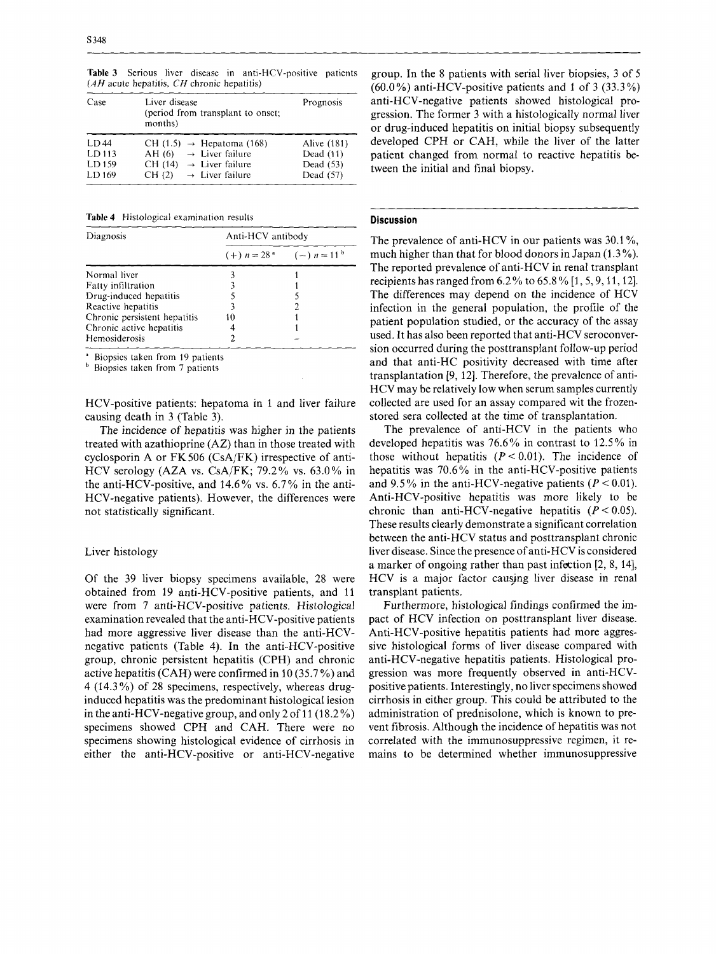**Table 3** Serious liver disease in anti-HCV-positive patients *(AH* acute hepatitis, *CH* chronic hepatitis)

| Case                                         | Liver disease<br>(period from transplant to onset;<br>months)                                                                                                 | Prognosis                                            |
|----------------------------------------------|---------------------------------------------------------------------------------------------------------------------------------------------------------------|------------------------------------------------------|
| LD44<br>LD <sub>113</sub><br>LD 159<br>LD169 | CH $(1.5) \rightarrow$ Hepatoma (168)<br>$\rightarrow$ Liver failure<br>AH (6)<br>CH (14) $\rightarrow$ Liver failure<br>CH(2)<br>$\rightarrow$ Liver failure | Alive (181)<br>Dead (11)<br>Dead (53)<br>Dead $(57)$ |

**Table 4** Histological examination results

| Diagnosis                    | Anti-HCV antibody |                             |  |
|------------------------------|-------------------|-----------------------------|--|
|                              |                   | $(+) n = 28a$ $(-) n = 11b$ |  |
| Normal liver                 |                   |                             |  |
| <b>Fatty infiltration</b>    |                   |                             |  |
| Drug-induced hepatitis       |                   |                             |  |
| Reactive hepatitis           |                   |                             |  |
| Chronic persistent hepatitis | 10                |                             |  |
| Chronic active hepatitis     |                   |                             |  |
| Hemosiderosis                |                   |                             |  |

Biopsies taken from 19 patients

**b** Biopsies taken from 7 patients

HCV-positive patients: hepatoma in 1 and liver failure causing death in 3 (Table 3).

The incidence of hepatitis was higher in the patients treated with azathioprine (AZ) than in those treated with cyclosporin A or FK506 (CsA/FK) irrespective of anti-HCV serology (AZA vs. CsA/FK; 79.2% vs. 63.0% in the anti-HCV-positive, and 14.6% vs. 6.7% in the anti-HCV-negative patients). However, the differences were not statistically significant.

#### Liver histology

Of the 39 liver biopsy specimens available, 28 were obtained from 19 anti-HCV-positive patients, and 11 were from 7 anti-HCV-positive patients. Histological examination revealed that the anti-HCV-positive patients had more aggressive liver disease than the anti-HCVnegative patients (Table 4). In the anti-HCV-positive group, chronic persistent hepatitis (CPH) and chronic active hepatitis (CAH) were confirmed in 10 (35.7%) and 4 (14.3 *YO)* of 28 specimens, respectively, whereas druginduced hepatitis was the predominant histological lesion in the anti-HCV-negative group, and only  $2$  of 11 (18.2  $\%$ ) specimens showed CPH and CAH. There were **no**  specimens showing histological evidence of cirrhosis in either the anti-HCV-positive or anti-HCV-negative group. In the 8 patients with serial liver biopsies, 3 of *<sup>5</sup>*  $(60.0\%)$  anti-HCV-positive patients and 1 of 3  $(33.3\%)$ anti-HCV-negative patients showed histological progression. The former 3 with a histologically normal liver or drug-induced hepatitis on initial biopsy subsequently developed CPH or CAH, while the liver of the latter patient changed from normal to reactive hepatitis between the initial and final biopsy.

#### **Discussion**

The prevalence of anti-HCV in our patients was 30.1 %, much higher than that for blood donors in Japan (1.3%). The reported prevalence of anti-HCV in renal transplant recipients has ranged from  $6.2\%$  to  $65.8\%$  [1, 5, 9, 11, 12]. The differences may depend on the incidence of HCV infection in the general population, the profile of the patient population studied, or the accuracy of the assay used. It has also been reported that anti-HCV seroconversion occurred during the posttransplant follow-up period and that anti-HC positivity decreased with time after transplantation [9, 121. Therefore, the prevalence of anti-HCV may be relatively low when serum samples currently collected are used for an assay compared wit the frozenstored sera collected at the time of transplantation.

The prevalence of anti-HCV in the patients who developed hepatitis was 76.6% in contrast to 12.5% in those without hepatitis  $(P < 0.01)$ . The incidence of hepatitis was 70.6% in the anti-HCV-positive patients and 9.5% in the anti-HCV-negative patients  $(P < 0.01)$ . Anti-HCV-positive hepatitis was more likely to be chronic than anti-HCV-negative hepatitis  $(P < 0.05)$ . These results clearly demonstrate a significant correlation between the anti-HCV status and posttransplant chronic liver disease. Since the presence of anti-HCV is considered a marker of ongoing rather than past infection [2, 8, 141, HCV is a major factor causing liver disease in renal transplant patients.

Furthermore, histological findings confirmed the impact of HCV infection on posttransplant liver disease. Anti-HCV-positive hepatitis patients had more aggressive histological forms of liver disease compared with anti-HCV-negative hepatitis patients. Histological progression was more frequently observed in anti-HCVpositive patients. Interestingly, no liver specimens showed cirrhosis in either group. This could be attributed to the administration of prednisolone, which is known to prevent fibrosis. Although the incidence of hepatitis was not correlated with the immunosuppressive regimen, it remains to be determined whether immunosuppressive